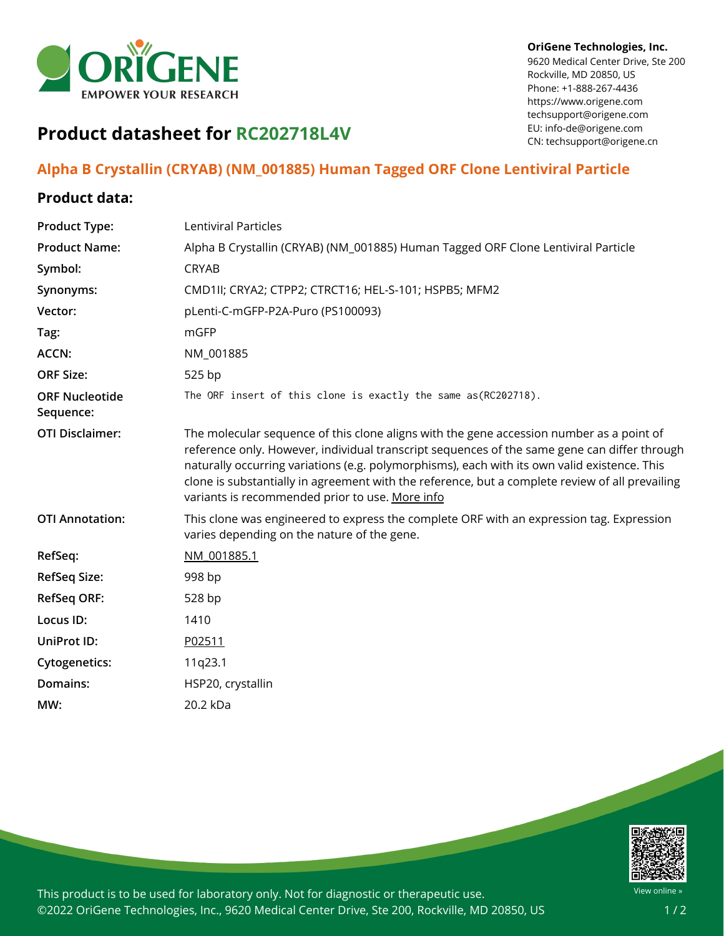

## **OriGene Technologies, Inc.**

9620 Medical Center Drive, Ste 200 Rockville, MD 20850, US Phone: +1-888-267-4436 https://www.origene.com techsupport@origene.com EU: info-de@origene.com CN: techsupport@origene.cn

## **Product datasheet for RC202718L4V**

## **Alpha B Crystallin (CRYAB) (NM\_001885) Human Tagged ORF Clone Lentiviral Particle**

## **Product data:**

| <b>Product Type:</b>               | Lentiviral Particles                                                                                                                                                                                                                                                                                                                                                                                                                           |
|------------------------------------|------------------------------------------------------------------------------------------------------------------------------------------------------------------------------------------------------------------------------------------------------------------------------------------------------------------------------------------------------------------------------------------------------------------------------------------------|
| <b>Product Name:</b>               | Alpha B Crystallin (CRYAB) (NM_001885) Human Tagged ORF Clone Lentiviral Particle                                                                                                                                                                                                                                                                                                                                                              |
| Symbol:                            | <b>CRYAB</b>                                                                                                                                                                                                                                                                                                                                                                                                                                   |
| Synonyms:                          | CMD1II; CRYA2; CTPP2; CTRCT16; HEL-S-101; HSPB5; MFM2                                                                                                                                                                                                                                                                                                                                                                                          |
| Vector:                            | pLenti-C-mGFP-P2A-Puro (PS100093)                                                                                                                                                                                                                                                                                                                                                                                                              |
| Tag:                               | mGFP                                                                                                                                                                                                                                                                                                                                                                                                                                           |
| ACCN:                              | NM_001885                                                                                                                                                                                                                                                                                                                                                                                                                                      |
| <b>ORF Size:</b>                   | 525 bp                                                                                                                                                                                                                                                                                                                                                                                                                                         |
| <b>ORF Nucleotide</b><br>Sequence: | The ORF insert of this clone is exactly the same as(RC202718).                                                                                                                                                                                                                                                                                                                                                                                 |
| <b>OTI Disclaimer:</b>             | The molecular sequence of this clone aligns with the gene accession number as a point of<br>reference only. However, individual transcript sequences of the same gene can differ through<br>naturally occurring variations (e.g. polymorphisms), each with its own valid existence. This<br>clone is substantially in agreement with the reference, but a complete review of all prevailing<br>variants is recommended prior to use. More info |
| <b>OTI Annotation:</b>             | This clone was engineered to express the complete ORF with an expression tag. Expression<br>varies depending on the nature of the gene.                                                                                                                                                                                                                                                                                                        |
| RefSeq:                            | NM 001885.1                                                                                                                                                                                                                                                                                                                                                                                                                                    |
| <b>RefSeq Size:</b>                | 998 bp                                                                                                                                                                                                                                                                                                                                                                                                                                         |
| <b>RefSeq ORF:</b>                 | 528 bp                                                                                                                                                                                                                                                                                                                                                                                                                                         |
| Locus ID:                          | 1410                                                                                                                                                                                                                                                                                                                                                                                                                                           |
| UniProt ID:                        | P02511                                                                                                                                                                                                                                                                                                                                                                                                                                         |
| <b>Cytogenetics:</b>               | 11q23.1                                                                                                                                                                                                                                                                                                                                                                                                                                        |
| Domains:                           | HSP20, crystallin                                                                                                                                                                                                                                                                                                                                                                                                                              |
| MW:                                | 20.2 kDa                                                                                                                                                                                                                                                                                                                                                                                                                                       |
|                                    |                                                                                                                                                                                                                                                                                                                                                                                                                                                |



This product is to be used for laboratory only. Not for diagnostic or therapeutic use. ©2022 OriGene Technologies, Inc., 9620 Medical Center Drive, Ste 200, Rockville, MD 20850, US